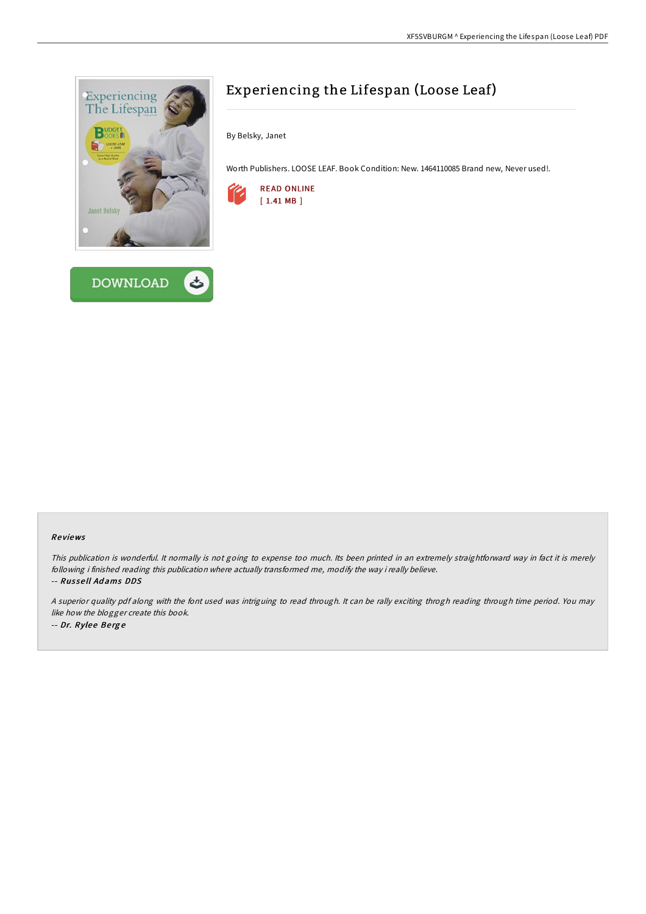



# Experiencing the Lifespan (Loose Leaf)

By Belsky, Janet

Worth Publishers. LOOSE LEAF. Book Condition: New. 1464110085 Brand new, Never used!.



#### Re views

This publication is wonderful. It normally is not going to expense too much. Its been printed in an extremely straightforward way in fact it is merely following i finished reading this publication where actually transformed me, modify the way i really believe.

-- Rus se ll Ad ams DDS

<sup>A</sup> superior quality pdf along with the font used was intriguing to read through. It can be rally exciting throgh reading through time period. You may like how the blogger create this book. -- Dr. Rylee Berge